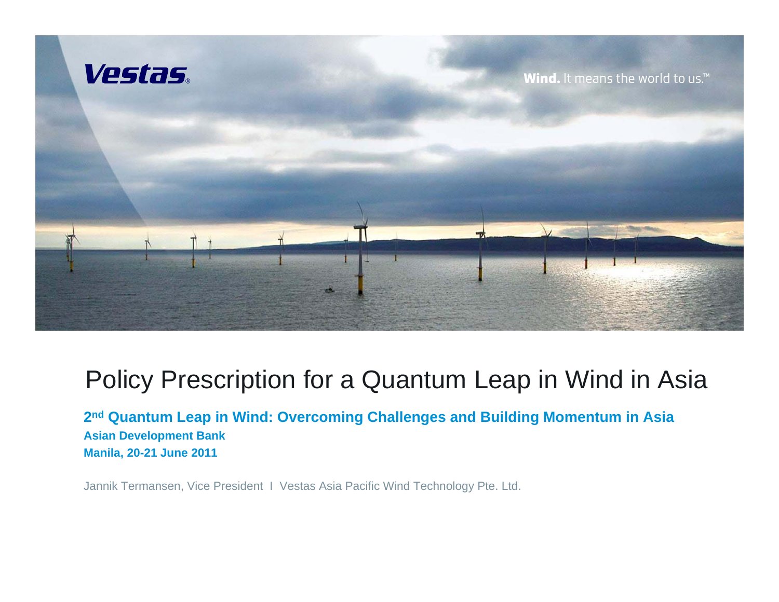

## Policy Prescription for a Quantum Leap in Wind in Asia

**2nd Quantum Leap in Wind: Overcoming Challenges and Building Momentum in Asia Asian Development Bank Manila, 20-21 June 2011**

Jannik Termansen, Vice President I Vestas Asia Pacific Wind Technology Pte. Ltd.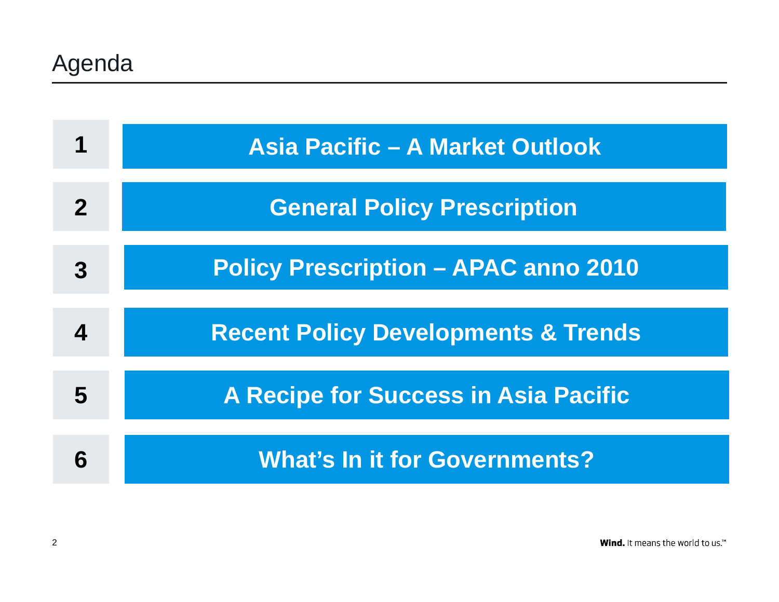|             | <b>Asia Pacific - A Market Outlook</b>         |
|-------------|------------------------------------------------|
| $\mathbf 2$ | <b>General Policy Prescription</b>             |
| 3           | <b>Policy Prescription - APAC anno 2010</b>    |
|             | <b>Recent Policy Developments &amp; Trends</b> |
| 5           | <b>A Recipe for Success in Asia Pacific</b>    |
| 6           | <b>What's In it for Governments?</b>           |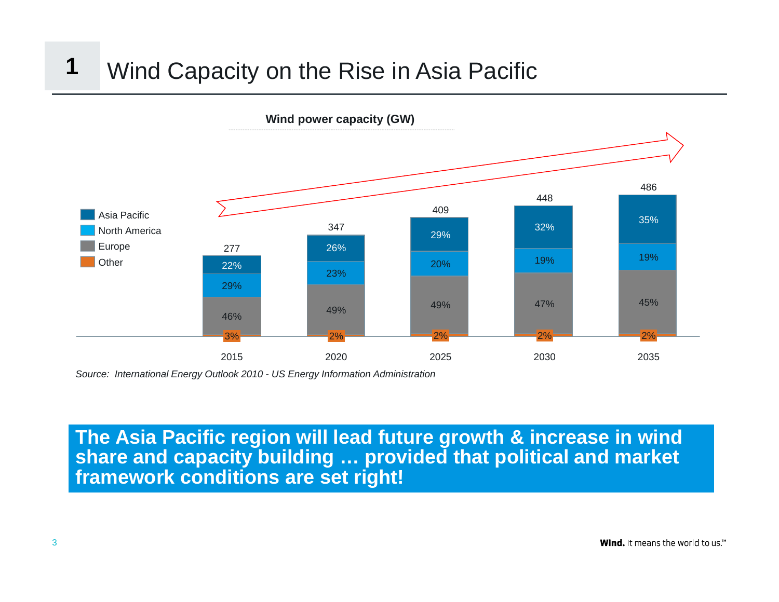#### Wind Capacity on the Rise in Asia Pacific **1**



*Source: International Energy Outlook 2010 - US Energy Information Administration*

#### **The Asia Pacific region will lead future growth & increase in wind share and capacity building … provided that political and market framework conditions are set right!**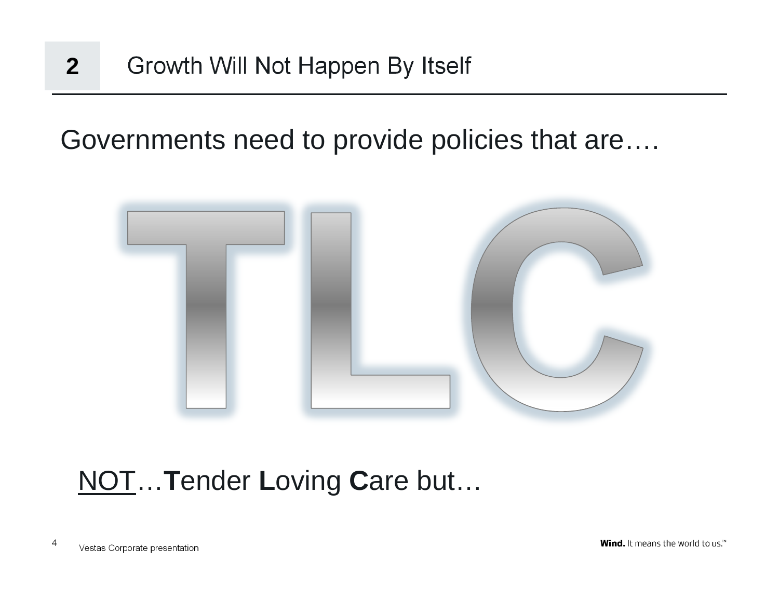#### Growth Will Not Happen By Itself **2**

Governments need to provide policies that are….



## NOT… **T**ender **L**oving **C**are but…

Vestas Corporate presentation <sup>4</sup>

Wind. It means the world to us.<sup>\*\*</sup>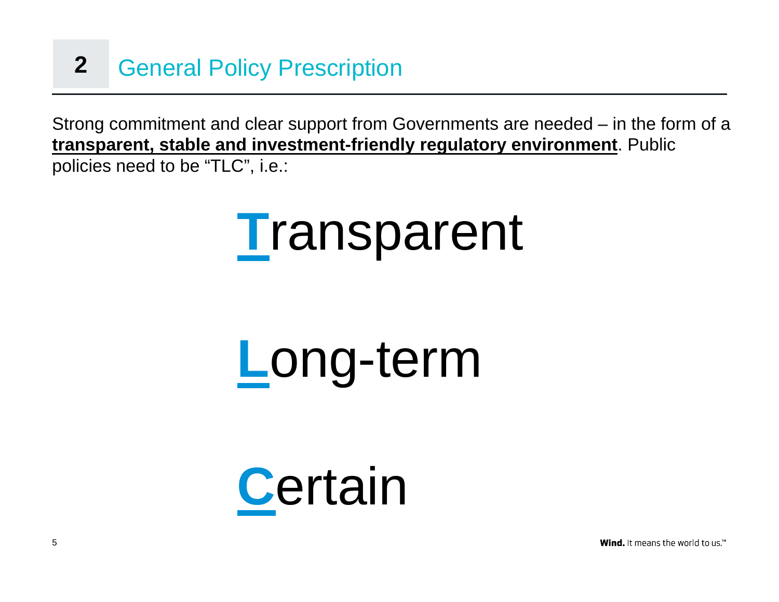#### General Policy Prescription **2**

Strong commitment and clear support from Governments are needed – in the form of a **transparent, stable and investment-friendly regulatory environment**. Public policies need to be "TLC", i.e.:



# **L**ong-term



**Wind.** It means the world to us.<sup>™</sup>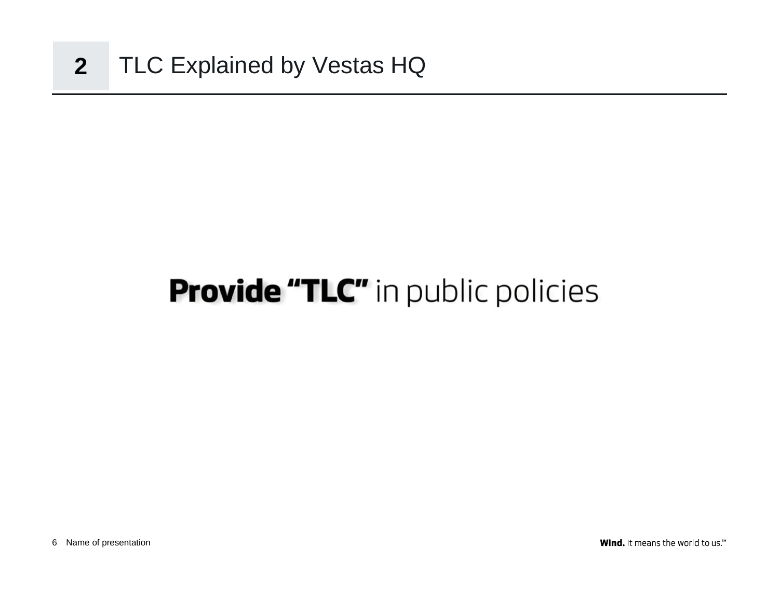## **Provide "TLC"** in public policies

Wind. It means the world to us.<sup> $M$ </sup>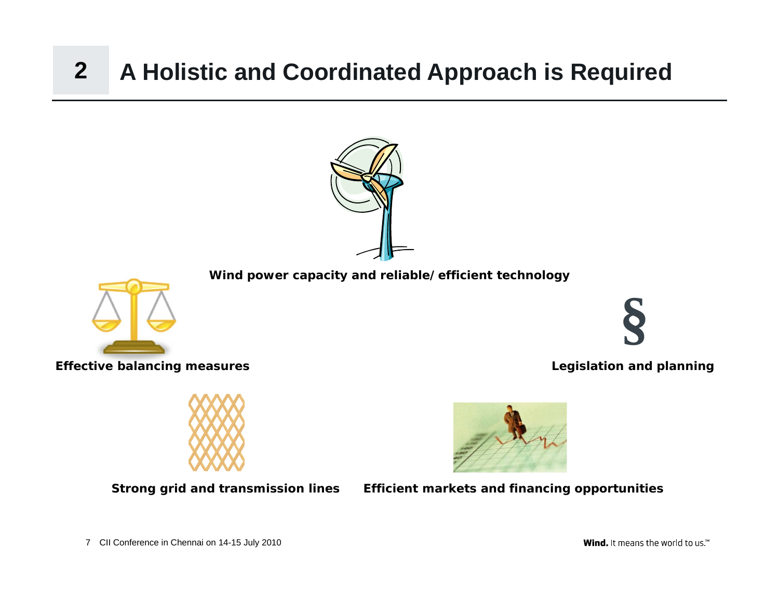#### **A Holistic and Coordinated Approach is Required 2**



**Wind.** It means the world to us.<sup>™</sup>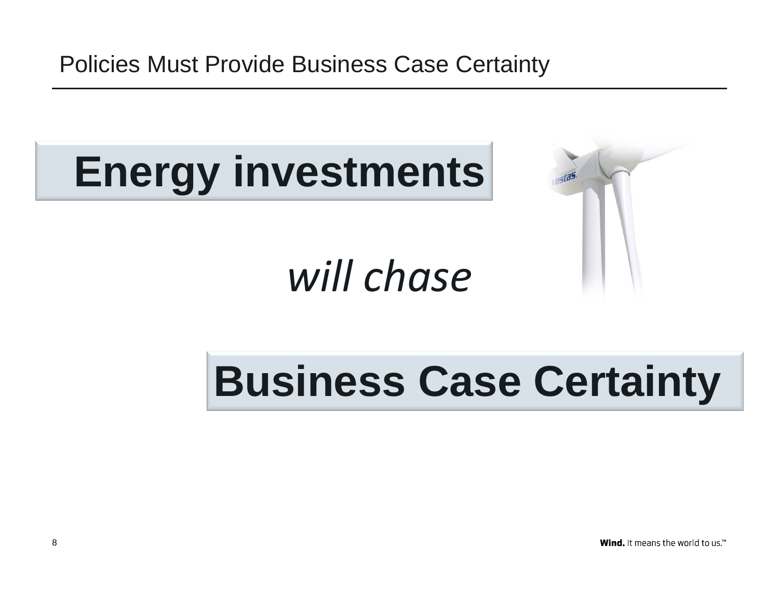Policies Must Provide Business Case Certainty

# **Energy investments**

# *will chase*



# **Business Case Certainty**

Wind. It means the world to us.<sup>14</sup>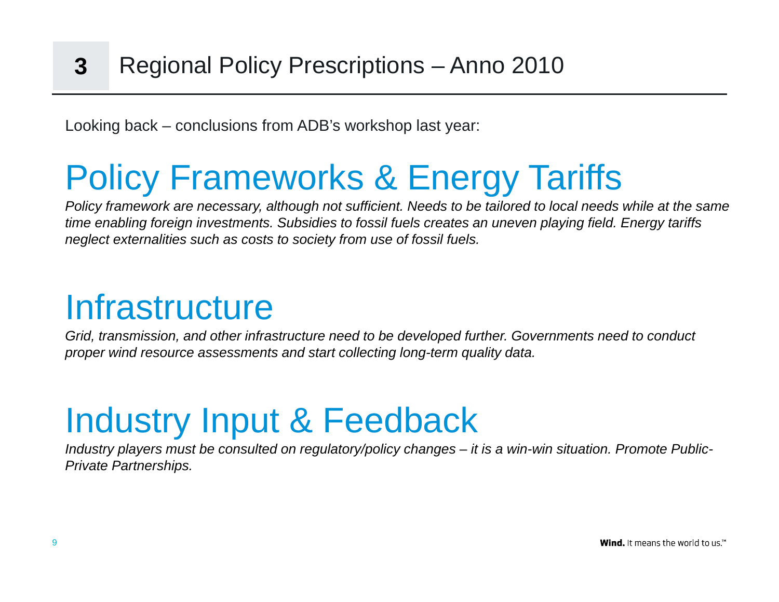Looking back – conclusions from ADB's workshop last year:

# Policy Frameworks & Energy Tariffs

*Policy framework are necessary, although not sufficient. Needs to be tailored to local needs while at the same time enabling foreign investments. Subsidies to fossil fuels creates an uneven playing field. Energy tariffs neglect externalities such as costs to society from use of fossil fuels.*

## **Infrastructure**

*Grid, transmission, and other infrastructure need to be developed further. Governments need to conduct proper wind resource assessments and start collecting long-term quality data.*

# Industry Input & Feedback

*Industry players must be consulted on regulatory/policy changes – it is a win-win situation. Promote Public-Private Partnerships.*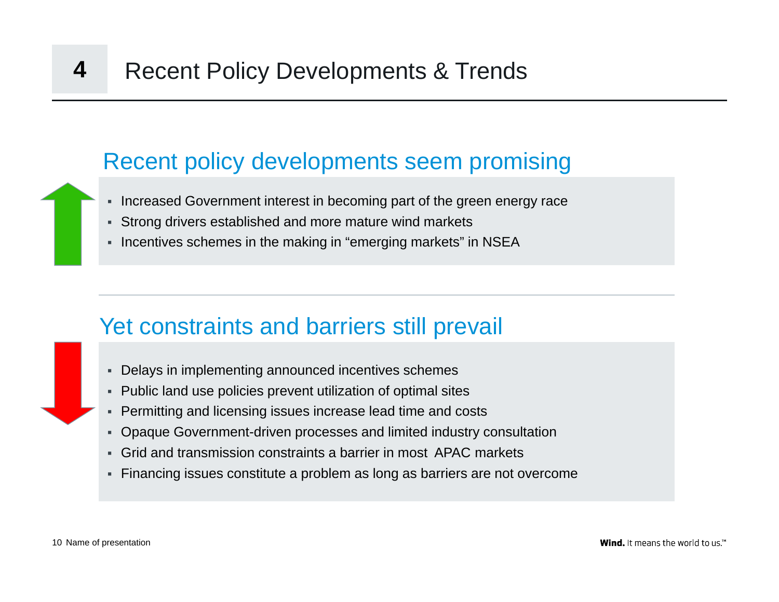#### Recent policy developments seem promising

- Increased Government interest in becoming part of the green energy race
- Strong drivers established and more mature wind markets
- Incentives schemes in the making in "emerging markets" in NSEA

## Yet constraints and barriers still prevail

- Delays in implementing announced incentives schemes
- Public land use policies prevent utilization of optimal sites
- Permitting and licensing issues increase lead time and costs
- Opaque Government-driven processes and limited industry consultation
- Grid and transmission constraints a barrier in most APAC markets
- Financing issues constitute a problem as long as barriers are not overcome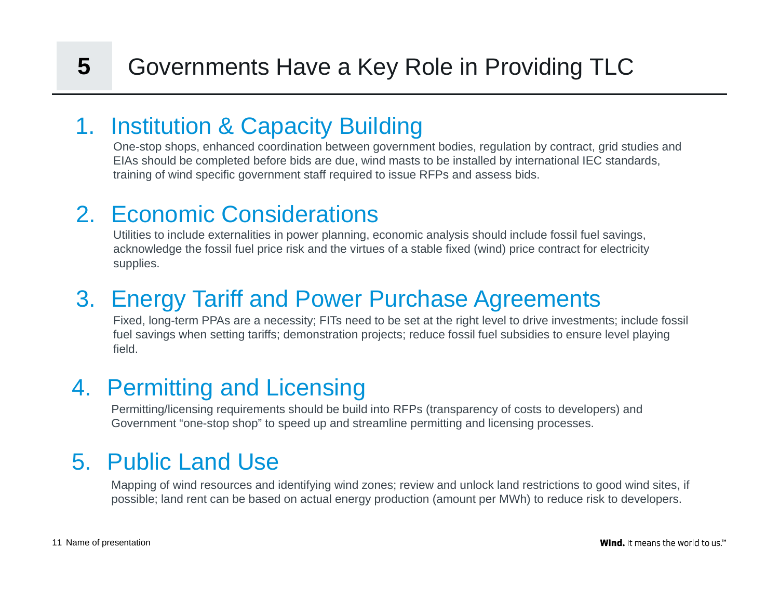#### 1. Institution & Capacity Building

One-stop shops, enhanced coordination between government bodies, regulation by contract, grid studies and EIAs should be completed before bids are due, wind masts to be installed by international IEC standards, training of wind specific government staff required to issue RFPs and assess bids.

## 2. Economic Considerations

Utilities to include externalities in power planning, economic analysis should include fossil fuel savings, acknowledge the fossil fuel price risk and the virtues of a stable fixed (wind) price contract for electricity supplies.

## 3. Energy Tariff and Power Purchase Agreements

Fixed, long-term PPAs are a necessity; FITs need to be set at the right level to drive investments; include fossil fuel savings when setting tariffs; demonstration projects; reduce fossil fuel subsidies to ensure level playing field.

## 4. Permitting and Licensing

Permitting/licensing requirements should be build into RFPs (transparency of costs to developers) and Government "one-stop shop" to speed up and streamline permitting and licensing processes.

## 5. Public Land Use

Mapping of wind resources and identifying wind zones; review and unlock land restrictions to good wind sites, if possible; land rent can be based on actual energy production (amount per MWh) to reduce risk to developers.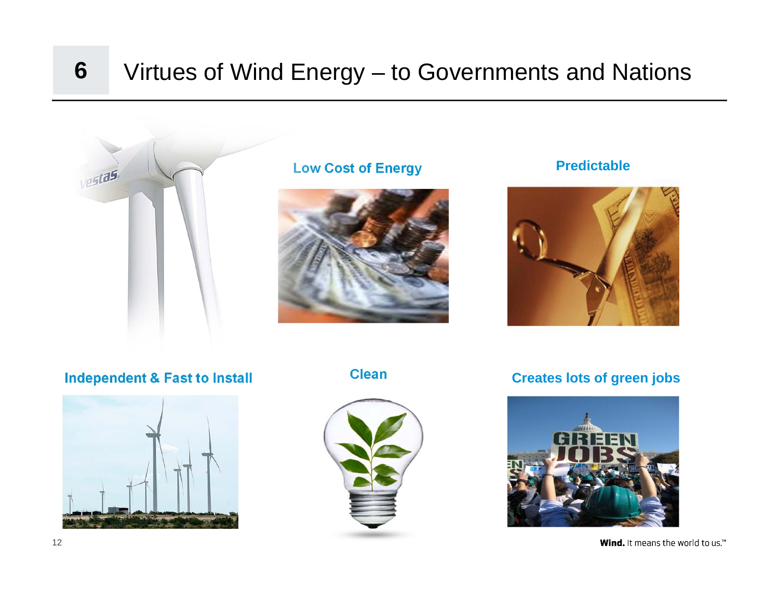#### **6**Virtues of Wind Energy – to Governments and Nations



#### **Low Cost of Energy <b>Predictable**





**Independent & Fast to Install Clean Creates lots of green jobs**







Wind. It means the world to us. $M$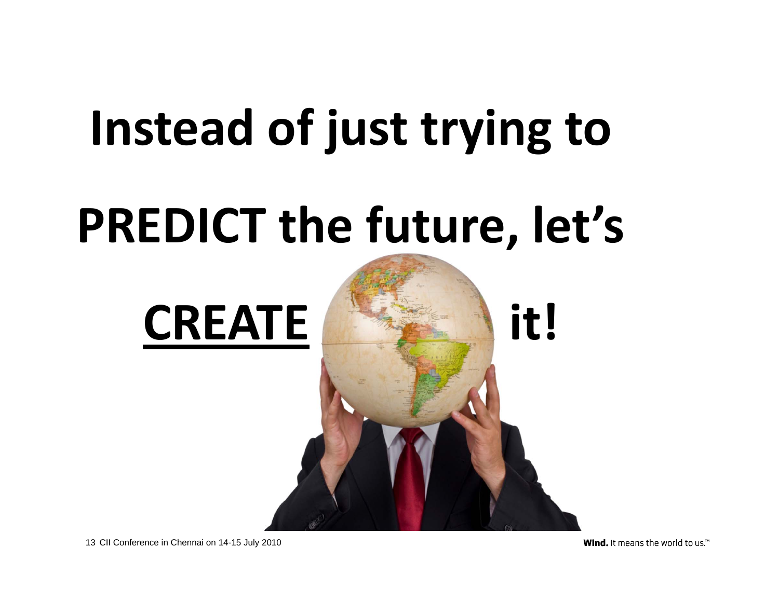# **Instead of just trying to**

# **PREDICT the future, let's**





13 CII Conference in Chennai on 14-15 July 2010

Wind. It means the world to us.<sup>14</sup>